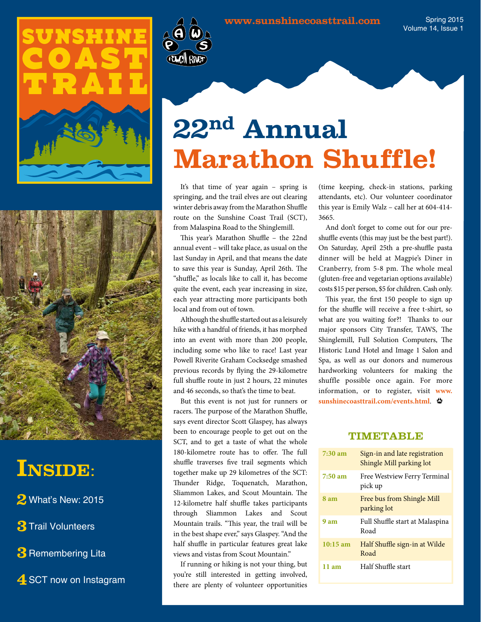



## INSIDE:

**2** What's New: 2015

**3**Trail Volunteers

**3** Remembering Lita

4 SCT now on Instagram



It's that time of year again – spring is springing, and the trail elves are out clearing winter debris away from the Marathon Shuffle route on the Sunshine Coast Trail (SCT), from Malaspina Road to the Shinglemill.

This year's Marathon Shuffle – the 22nd annual event – will take place, as usual on the last Sunday in April, and that means the date to save this year is Sunday, April 26th. The "shuffle," as locals like to call it, has become quite the event, each year increasing in size, each year attracting more participants both local and from out of town.

Although the shuffle started out as a leisurely hike with a handful of friends, it has morphed into an event with more than 200 people, including some who like to race! Last year Powell Riverite Graham Cocksedge smashed previous records by flying the 29-kilometre full shuffle route in just 2 hours, 22 minutes and 46 seconds, so that's the time to beat.

But this event is not just for runners or racers. The purpose of the Marathon Shuffle, says event director Scott Glaspey, has always been to encourage people to get out on the SCT, and to get a taste of what the whole 180-kilometre route has to offer. The full shuffle traverses five trail segments which together make up 29 kilometres of the SCT: Thunder Ridge, Toquenatch, Marathon, Sliammon Lakes, and Scout Mountain. The 12-kilometre half shuffle takes participants through Sliammon Lakes and Scout Mountain trails. "This year, the trail will be in the best shape ever," says Glaspey. "And the half shuffle in particular features great lake views and vistas from Scout Mountain."

If running or hiking is not your thing, but you're still interested in getting involved, there are plenty of volunteer opportunities

(time keeping, check-in stations, parking attendants, etc). Our volunteer coordinator this year is Emily Walz – call her at 604-414- 3665.

And don't forget to come out for our preshuffle events (this may just be the best part!). On Saturday, April 25th a pre-shuffle pasta dinner will be held at Magpie's Diner in Cranberry, from 5-8 pm. The whole meal (gluten-free and vegetarian options available) costs \$15 per person, \$5 for children. Cash only.

This year, the first 150 people to sign up for the shuffle will receive a free t-shirt, so what are you waiting for?! Thanks to our major sponsors City Transfer, TAWS, The Shinglemill, Full Solution Computers, The Historic Lund Hotel and Image 1 Salon and Spa, as well as our donors and numerous hardworking volunteers for making the shuffle possible once again. For more information, or to register, visit **[www.](www.sunshinecoast-trail.com/events.html) [sunshinecoasttrail.com/events.html](www.sunshinecoast-trail.com/events.html)**.

## **TIMETABLE**

| 7:30 am    | Sign-in and late registration<br>Shingle Mill parking lot |
|------------|-----------------------------------------------------------|
| $7:50$ am  | Free Westview Ferry Terminal<br>pick up                   |
| 8 am       | Free bus from Shingle Mill<br>parking lot                 |
| 9 am       | Full Shuffle start at Malaspina<br>Road                   |
| $10:15$ am | Half Shuffle sign-in at Wilde<br>Road                     |
| 11am       | Half Shuffle start                                        |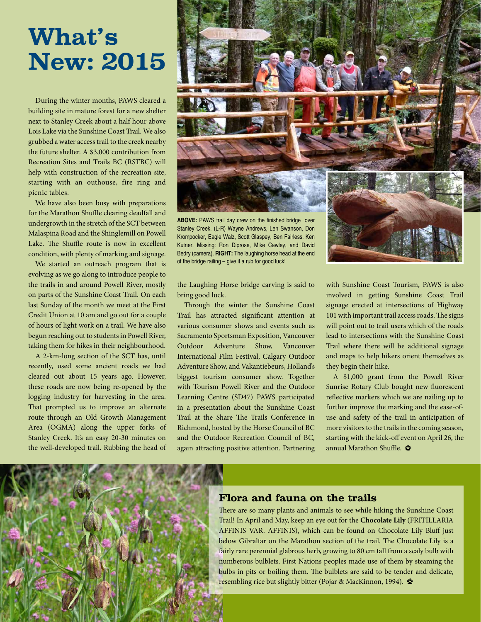# **What's New: 2015**

During the winter months, PAWS cleared a building site in mature forest for a new shelter next to Stanley Creek about a half hour above Lois Lake via the Sunshine Coast Trail. We also grubbed a water access trail to the creek nearby the future shelter. A \$3,000 contribution from Recreation Sites and Trails BC (RSTBC) will help with construction of the recreation site, starting with an outhouse, fire ring and picnic tables.

We have also been busy with preparations for the Marathon Shuffle clearing deadfall and undergrowth in the stretch of the SCT between Malaspina Road and the Shinglemill on Powell Lake. The Shuffle route is now in excellent condition, with plenty of marking and signage.

We started an outreach program that is evolving as we go along to introduce people to the trails in and around Powell River, mostly on parts of the Sunshine Coast Trail. On each last Sunday of the month we meet at the First Credit Union at 10 am and go out for a couple of hours of light work on a trail. We have also begun reaching out to students in Powell River, taking them for hikes in their neighbourhood.

A 2-km-long section of the SCT has, until recently, used some ancient roads we had cleared out about 15 years ago. However, these roads are now being re-opened by the logging industry for harvesting in the area. That prompted us to improve an alternate route through an Old Growth Management Area (OGMA) along the upper forks of Stanley Creek. It's an easy 20-30 minutes on the well-developed trail. Rubbing the head of



Stanley Creek. (L-R) Wayne Andrews, Len Swanson, Don Krompocker, Eagle Walz, Scott Glaspey, Ben Fairless, Ken Kutner. Missing: Ron Diprose, Mike Cawley, and David Bedry (camera). **RIGHT:** The laughing horse head at the end of the bridge railing – give it a rub for good luck!

the Laughing Horse bridge carving is said to bring good luck.

Through the winter the Sunshine Coast Trail has attracted significant attention at various consumer shows and events such as Sacramento Sportsman Exposition, Vancouver Outdoor Adventure Show, Vancouver International Film Festival, Calgary Outdoor Adventure Show, and Vakantiebeurs, Holland's biggest tourism consumer show. Together with Tourism Powell River and the Outdoor Learning Centre (SD47) PAWS participated in a presentation about the Sunshine Coast Trail at the Share The Trails Conference in Richmond, hosted by the Horse Council of BC and the Outdoor Recreation Council of BC, again attracting positive attention. Partnering with Sunshine Coast Tourism, PAWS is also involved in getting Sunshine Coast Trail signage erected at intersections of Highway 101 with important trail access roads. The signs will point out to trail users which of the roads lead to intersections with the Sunshine Coast Trail where there will be additional signage and maps to help hikers orient themselves as they begin their hike.

A \$1,000 grant from the Powell River Sunrise Rotary Club bought new fluorescent reflective markers which we are nailing up to further improve the marking and the ease-ofuse and safety of the trail in anticipation of more visitors to the trails in the coming season, starting with the kick-off event on April 26, the annual Marathon Shuffle. <a>



## **Flora and fauna on the trails**

There are so many plants and animals to see while hiking the Sunshine Coast Trail! In April and May, keep an eye out for the **Chocolate Lily** (FRITILLARIA AFFINIS VAR. AFFINIS), which can be found on Chocolate Lily Bluff just below Gibraltar on the Marathon section of the trail. The Chocolate Lily is a fairly rare perennial glabrous herb, growing to 80 cm tall from a scaly bulb with numberous bulblets. First Nations peoples made use of them by steaming the bulbs in pits or boiling them. The bulblets are said to be tender and delicate, resembling rice but slightly bitter (Pojar & MacKinnon, 1994).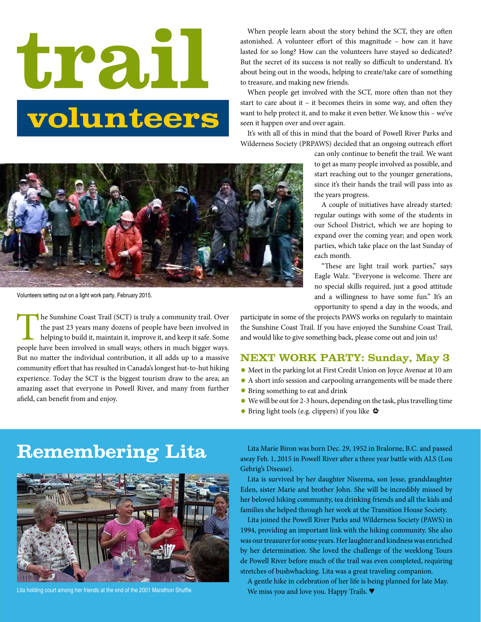# **trall** volunteers

When people learn about the story behind the SCT, they are often astonished. A volunteer effort of this magnitude – how can it have lasted for so long? How can the volunteers have stayed so dedicated? But the secret of its success is not really so difficult to understand. It's about being out in the woods, helping to create/take care of something to treasure, and making new friends.

When people get involved with the SCT, more often than not they start to care about it – it becomes theirs in some way, and often they want to help protect it, and to make it even better. We know this – we've seen it happen over and over again.

It's with all of this in mind that the board of Powell River Parks and Wilderness Society (PRPAWS) decided that an ongoing outreach effort

> can only continue to benefit the trail. We want to get as many people involved as possible, and start reaching out to the younger generations, since it's their hands the trail will pass into as the years progress.

> A couple of initiatives have already started: regular outings with some of the students in our School District, which we are hoping to expand over the coming year; and open work parties, which take place on the last Sunday of each month.

> "These are light trail work parties," says Eagle Walz. "Everyone is welcome. There are no special skills required, just a good attitude and a willingness to have some fun." It's an opportunity to spend a day in the woods, and

participate in some of the projects PAWS works on regularly to maintain the Sunshine Coast Trail. If you have enjoyed the Sunshine Coast Trail, and would like to give something back, please come out and join us!

## **NEXT WORK PARTY: Sunday, May 3**

- **•** Meet in the parking lot at First Credit Union on Joyce Avenue at 10 am
- **•** A short info session and carpooling arrangements will be made there
- **•** Bring something to eat and drink
- **•** We will be out for 2-3 hours, depending on the task, plus travelling time
- **•** Bring light tools (e.g. clippers) if you like  $\triangleq$



Lita holding court among her friends at the end of the 2001 Marathon Shuffle.

Remembering Lita Marie Biron was born Dec. 29, 1952 in Bralorne, B.C. and passed away Feb. 1, 2015 in Powell River after a three year battle with ALS (Lou Gehrig's Disease).

> Lita is survived by her daughter Niseema, son Jesse, granddaughter Eden, sister Marie and brother John. She will be incredibly missed by her beloved hiking community, tea drinking friends and all the kids and families she helped through her work at the Transition House Society.

> Lita joined the Powell River Parks and Wilderness Society (PAWS) in 1994, providing an important link with the hiking community. She also was our treasurer for some years. Her laughter and kindness was enriched by her determination. She loved the challenge of the weeklong Tours de Powell River before much of the trail was even completed, requiring stretches of bushwhacking. Lita was a great traveling companion.

A gentle hike in celebration of her life is being planned for late May. We miss you and love you. Happy Trails.  $\blacklozenge$ 



Volunteers setting out on a light work party, February 2015.

The Sunshine Coast Trail (SCT) is truly a community trail. Over<br>the past 23 years many dozens of people have been involved in<br>helping to build it, maintain it, improve it, and keep it safe. Some<br>people have been involved i the past 23 years many dozens of people have been involved in helping to build it, maintain it, improve it, and keep it safe. Some people have been involved in small ways; others in much bigger ways. But no matter the individual contribution, it all adds up to a massive community effort that has resulted in Canada's longest hut-to-hut hiking experience. Today the SCT is the biggest tourism draw to the area; an amazing asset that everyone in Powell River, and many from further afield, can benefit from and enjoy.